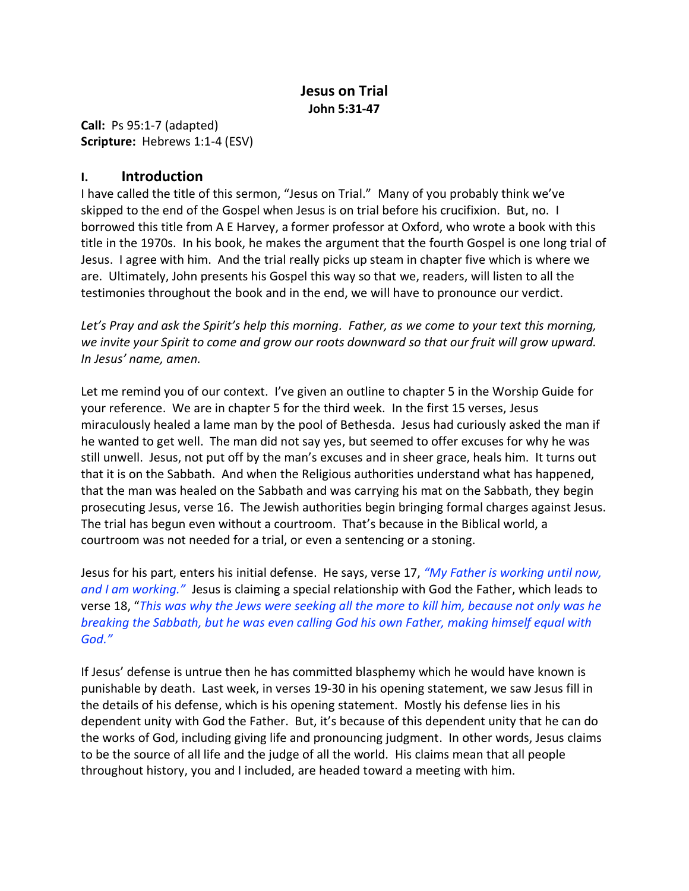## **Jesus on Trial John 5:31-47**

**Call:** Ps 95:1-7 (adapted) **Scripture:** Hebrews 1:1-4 (ESV)

## **I. Introduction**

I have called the title of this sermon, "Jesus on Trial." Many of you probably think we've skipped to the end of the Gospel when Jesus is on trial before his crucifixion. But, no. I borrowed this title from A E Harvey, a former professor at Oxford, who wrote a book with this title in the 1970s. In his book, he makes the argument that the fourth Gospel is one long trial of Jesus. I agree with him. And the trial really picks up steam in chapter five which is where we are. Ultimately, John presents his Gospel this way so that we, readers, will listen to all the testimonies throughout the book and in the end, we will have to pronounce our verdict.

*Let's Pray and ask the Spirit's help this morning. Father, as we come to your text this morning, we invite your Spirit to come and grow our roots downward so that our fruit will grow upward. In Jesus' name, amen.*

Let me remind you of our context. I've given an outline to chapter 5 in the Worship Guide for your reference. We are in chapter 5 for the third week. In the first 15 verses, Jesus miraculously healed a lame man by the pool of Bethesda. Jesus had curiously asked the man if he wanted to get well. The man did not say yes, but seemed to offer excuses for why he was still unwell. Jesus, not put off by the man's excuses and in sheer grace, heals him. It turns out that it is on the Sabbath. And when the Religious authorities understand what has happened, that the man was healed on the Sabbath and was carrying his mat on the Sabbath, they begin prosecuting Jesus, verse 16. The Jewish authorities begin bringing formal charges against Jesus. The trial has begun even without a courtroom. That's because in the Biblical world, a courtroom was not needed for a trial, or even a sentencing or a stoning.

Jesus for his part, enters his initial defense. He says, verse 17, *"My Father is working until now, and I am working."* Jesus is claiming a special relationship with God the Father, which leads to verse 18, "*This was why the Jews were seeking all the more to kill him, because not only was he breaking the Sabbath, but he was even calling God his own Father, making himself equal with God."*

If Jesus' defense is untrue then he has committed blasphemy which he would have known is punishable by death. Last week, in verses 19-30 in his opening statement, we saw Jesus fill in the details of his defense, which is his opening statement. Mostly his defense lies in his dependent unity with God the Father. But, it's because of this dependent unity that he can do the works of God, including giving life and pronouncing judgment. In other words, Jesus claims to be the source of all life and the judge of all the world. His claims mean that all people throughout history, you and I included, are headed toward a meeting with him.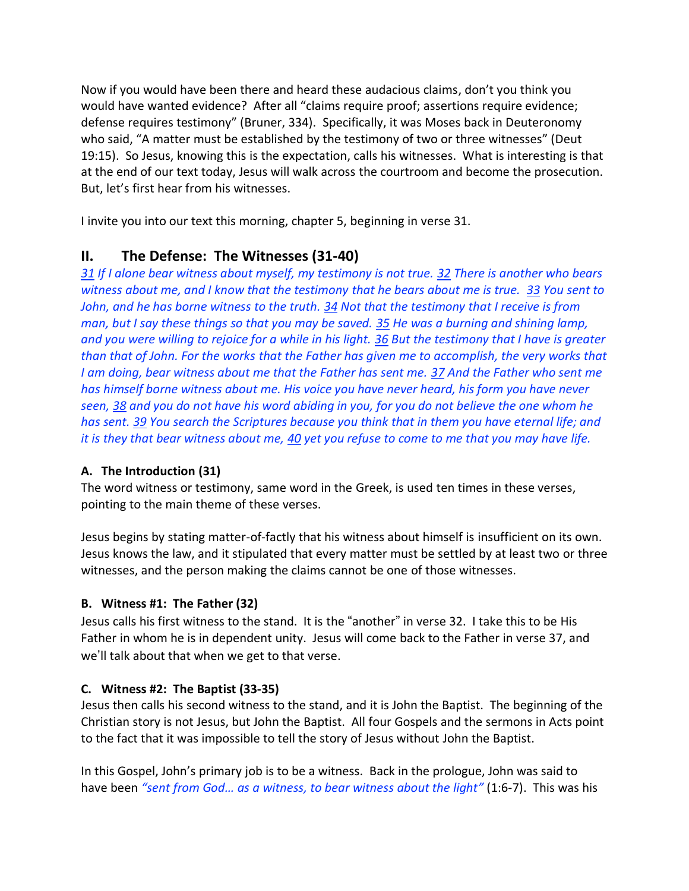Now if you would have been there and heard these audacious claims, don't you think you would have wanted evidence? After all "claims require proof; assertions require evidence; defense requires testimony" (Bruner, 334). Specifically, it was Moses back in Deuteronomy who said, "A matter must be established by the testimony of two or three witnesses" (Deut 19:15). So Jesus, knowing this is the expectation, calls his witnesses. What is interesting is that at the end of our text today, Jesus will walk across the courtroom and become the prosecution. But, let's first hear from his witnesses.

I invite you into our text this morning, chapter 5, beginning in verse 31.

## **II. The Defense: The Witnesses (31-40)**

*31 If I alone bear witness about myself, my testimony is not true. 32 There is another who bears witness about me, and I know that the testimony that he bears about me is true. 33 You sent to John, and he has borne witness to the truth. 34 Not that the testimony that I receive is from man, but I say these things so that you may be saved. 35 He was a burning and shining lamp, and you were willing to rejoice for a while in his light. 36 But the testimony that I have is greater than that of John. For the works that the Father has given me to accomplish, the very works that I am doing, bear witness about me that the Father has sent me. 37 And the Father who sent me has himself borne witness about me. His voice you have never heard, his form you have never seen, 38 and you do not have his word abiding in you, for you do not believe the one whom he has sent. 39 You search the Scriptures because you think that in them you have eternal life; and it is they that bear witness about me, 40 yet you refuse to come to me that you may have life.*

### **A. The Introduction (31)**

The word witness or testimony, same word in the Greek, is used ten times in these verses, pointing to the main theme of these verses.

Jesus begins by stating matter-of-factly that his witness about himself is insufficient on its own. Jesus knows the law, and it stipulated that every matter must be settled by at least two or three witnesses, and the person making the claims cannot be one of those witnesses.

## **B. Witness #1: The Father (32)**

Jesus calls his first witness to the stand. It is the "another" in verse 32. I take this to be His Father in whom he is in dependent unity. Jesus will come back to the Father in verse 37, and we'll talk about that when we get to that verse.

## **C. Witness #2: The Baptist (33-35)**

Jesus then calls his second witness to the stand, and it is John the Baptist. The beginning of the Christian story is not Jesus, but John the Baptist. All four Gospels and the sermons in Acts point to the fact that it was impossible to tell the story of Jesus without John the Baptist.

In this Gospel, John's primary job is to be a witness. Back in the prologue, John was said to have been *"sent from God… as a witness, to bear witness about the light"* (1:6-7). This was his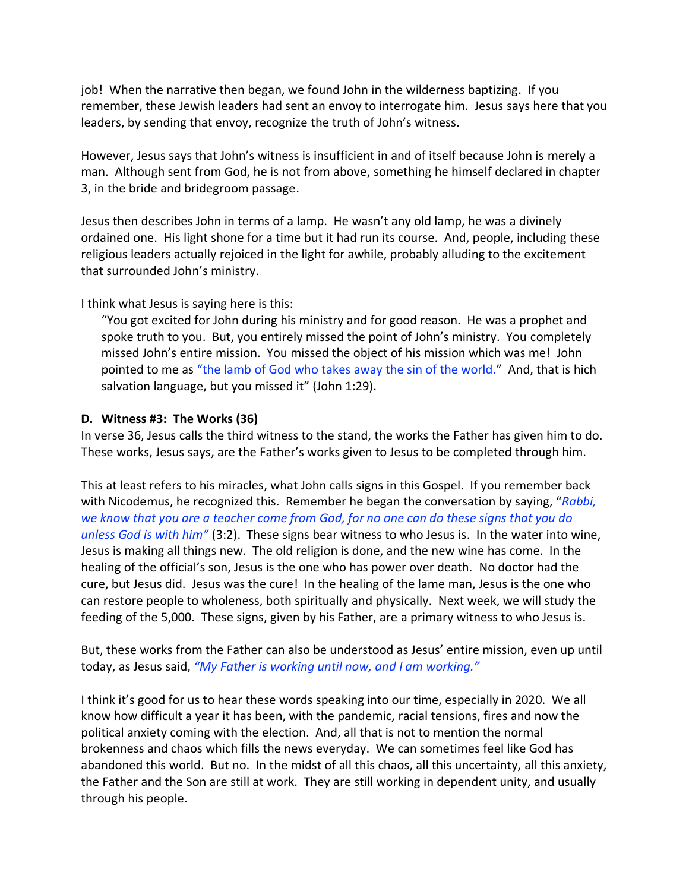job! When the narrative then began, we found John in the wilderness baptizing. If you remember, these Jewish leaders had sent an envoy to interrogate him. Jesus says here that you leaders, by sending that envoy, recognize the truth of John's witness.

However, Jesus says that John's witness is insufficient in and of itself because John is merely a man. Although sent from God, he is not from above, something he himself declared in chapter 3, in the bride and bridegroom passage.

Jesus then describes John in terms of a lamp. He wasn't any old lamp, he was a divinely ordained one. His light shone for a time but it had run its course. And, people, including these religious leaders actually rejoiced in the light for awhile, probably alluding to the excitement that surrounded John's ministry.

I think what Jesus is saying here is this:

"You got excited for John during his ministry and for good reason. He was a prophet and spoke truth to you. But, you entirely missed the point of John's ministry. You completely missed John's entire mission. You missed the object of his mission which was me! John pointed to me as "the lamb of God who takes away the sin of the world." And, that is hich salvation language, but you missed it" (John 1:29).

### **D. Witness #3: The Works (36)**

In verse 36, Jesus calls the third witness to the stand, the works the Father has given him to do. These works, Jesus says, are the Father's works given to Jesus to be completed through him.

This at least refers to his miracles, what John calls signs in this Gospel. If you remember back with Nicodemus, he recognized this. Remember he began the conversation by saying, "*Rabbi, we know that you are a teacher come from God, for no one can do these signs that you do unless God is with him"* (3:2). These signs bear witness to who Jesus is. In the water into wine, Jesus is making all things new. The old religion is done, and the new wine has come. In the healing of the official's son, Jesus is the one who has power over death. No doctor had the cure, but Jesus did. Jesus was the cure! In the healing of the lame man, Jesus is the one who can restore people to wholeness, both spiritually and physically. Next week, we will study the feeding of the 5,000. These signs, given by his Father, are a primary witness to who Jesus is.

But, these works from the Father can also be understood as Jesus' entire mission, even up until today, as Jesus said, *"My Father is working until now, and I am working."*

I think it's good for us to hear these words speaking into our time, especially in 2020. We all know how difficult a year it has been, with the pandemic, racial tensions, fires and now the political anxiety coming with the election. And, all that is not to mention the normal brokenness and chaos which fills the news everyday. We can sometimes feel like God has abandoned this world. But no. In the midst of all this chaos, all this uncertainty, all this anxiety, the Father and the Son are still at work. They are still working in dependent unity, and usually through his people.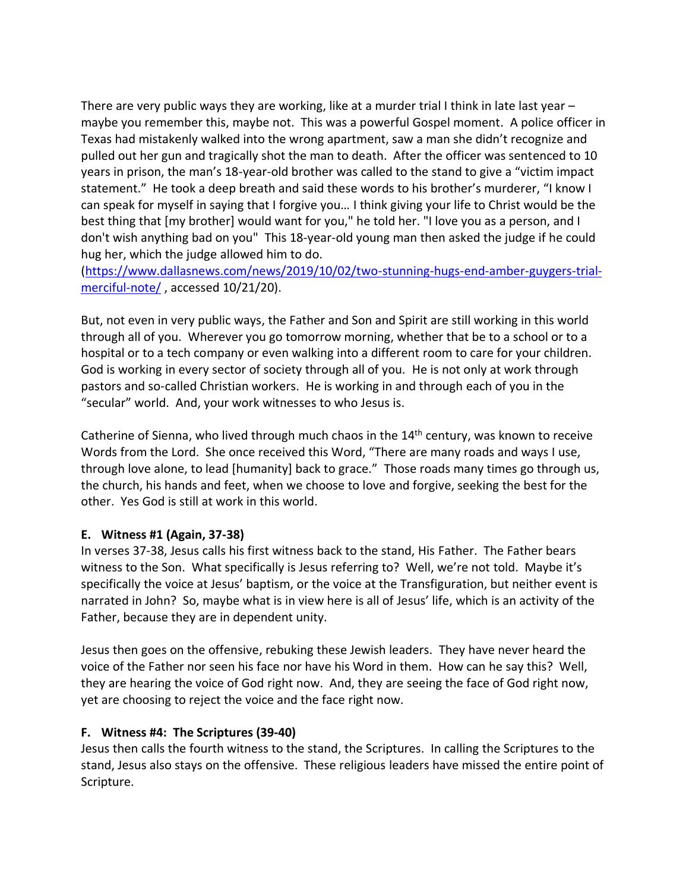There are very public ways they are working, like at a murder trial I think in late last year – maybe you remember this, maybe not. This was a powerful Gospel moment. A police officer in Texas had mistakenly walked into the wrong apartment, saw a man she didn't recognize and pulled out her gun and tragically shot the man to death. After the officer was sentenced to 10 years in prison, the man's 18-year-old brother was called to the stand to give a "victim impact statement." He took a deep breath and said these words to his brother's murderer, "I know I can speak for myself in saying that I forgive you… I think giving your life to Christ would be the best thing that [my brother] would want for you," he told her. "I love you as a person, and I don't wish anything bad on you" This 18-year-old young man then asked the judge if he could hug her, which the judge allowed him to do.

[\(https://www.dallasnews.com/news/2019/10/02/two-stunning-hugs-end-amber-guygers-trial](https://www.dallasnews.com/news/2019/10/02/two-stunning-hugs-end-amber-guygers-trial-merciful-note/)[merciful-note/](https://www.dallasnews.com/news/2019/10/02/two-stunning-hugs-end-amber-guygers-trial-merciful-note/), accessed 10/21/20).

But, not even in very public ways, the Father and Son and Spirit are still working in this world through all of you. Wherever you go tomorrow morning, whether that be to a school or to a hospital or to a tech company or even walking into a different room to care for your children. God is working in every sector of society through all of you. He is not only at work through pastors and so-called Christian workers. He is working in and through each of you in the "secular" world. And, your work witnesses to who Jesus is.

Catherine of Sienna, who lived through much chaos in the  $14<sup>th</sup>$  century, was known to receive Words from the Lord. She once received this Word, "There are many roads and ways I use, through love alone, to lead [humanity] back to grace." Those roads many times go through us, the church, his hands and feet, when we choose to love and forgive, seeking the best for the other. Yes God is still at work in this world.

### **E. Witness #1 (Again, 37-38)**

In verses 37-38, Jesus calls his first witness back to the stand, His Father. The Father bears witness to the Son. What specifically is Jesus referring to? Well, we're not told. Maybe it's specifically the voice at Jesus' baptism, or the voice at the Transfiguration, but neither event is narrated in John? So, maybe what is in view here is all of Jesus' life, which is an activity of the Father, because they are in dependent unity.

Jesus then goes on the offensive, rebuking these Jewish leaders. They have never heard the voice of the Father nor seen his face nor have his Word in them. How can he say this? Well, they are hearing the voice of God right now. And, they are seeing the face of God right now, yet are choosing to reject the voice and the face right now.

#### **F. Witness #4: The Scriptures (39-40)**

Jesus then calls the fourth witness to the stand, the Scriptures. In calling the Scriptures to the stand, Jesus also stays on the offensive. These religious leaders have missed the entire point of Scripture.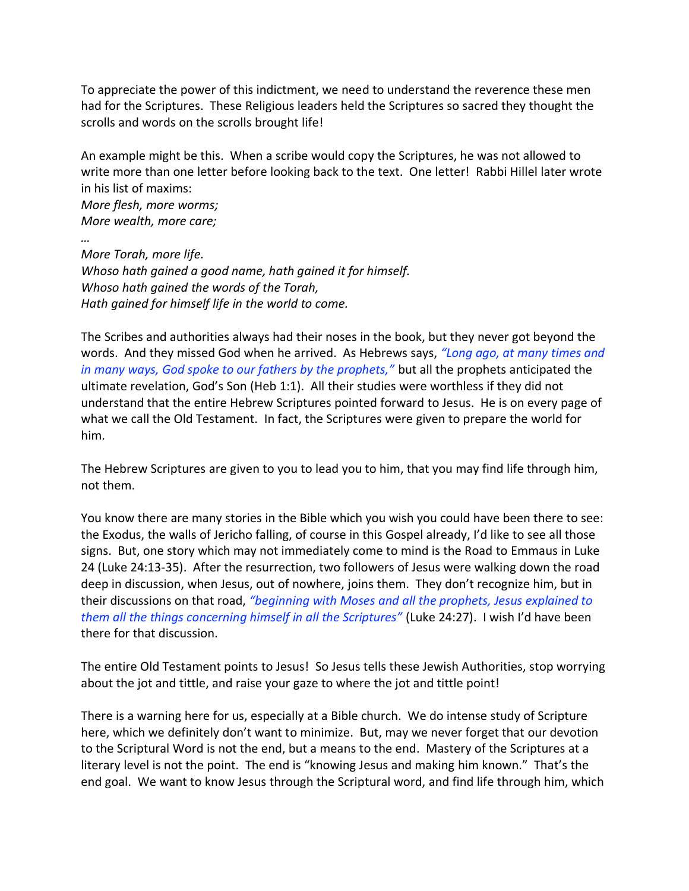To appreciate the power of this indictment, we need to understand the reverence these men had for the Scriptures. These Religious leaders held the Scriptures so sacred they thought the scrolls and words on the scrolls brought life!

An example might be this. When a scribe would copy the Scriptures, he was not allowed to write more than one letter before looking back to the text. One letter! Rabbi Hillel later wrote in his list of maxims:

*More flesh, more worms; More wealth, more care;*

*… More Torah, more life. Whoso hath gained a good name, hath gained it for himself. Whoso hath gained the words of the Torah, Hath gained for himself life in the world to come.*

The Scribes and authorities always had their noses in the book, but they never got beyond the words. And they missed God when he arrived. As Hebrews says, *"Long ago, at many times and in many ways, God spoke to our fathers by the prophets,"* but all the prophets anticipated the ultimate revelation, God's Son (Heb 1:1). All their studies were worthless if they did not understand that the entire Hebrew Scriptures pointed forward to Jesus. He is on every page of what we call the Old Testament. In fact, the Scriptures were given to prepare the world for him.

The Hebrew Scriptures are given to you to lead you to him, that you may find life through him, not them.

You know there are many stories in the Bible which you wish you could have been there to see: the Exodus, the walls of Jericho falling, of course in this Gospel already, I'd like to see all those signs. But, one story which may not immediately come to mind is the Road to Emmaus in Luke 24 (Luke 24:13-35). After the resurrection, two followers of Jesus were walking down the road deep in discussion, when Jesus, out of nowhere, joins them. They don't recognize him, but in their discussions on that road, *"beginning with Moses and all the prophets, Jesus explained to them all the things concerning himself in all the Scriptures"* (Luke 24:27). I wish I'd have been there for that discussion.

The entire Old Testament points to Jesus! So Jesus tells these Jewish Authorities, stop worrying about the jot and tittle, and raise your gaze to where the jot and tittle point!

There is a warning here for us, especially at a Bible church. We do intense study of Scripture here, which we definitely don't want to minimize. But, may we never forget that our devotion to the Scriptural Word is not the end, but a means to the end. Mastery of the Scriptures at a literary level is not the point. The end is "knowing Jesus and making him known." That's the end goal. We want to know Jesus through the Scriptural word, and find life through him, which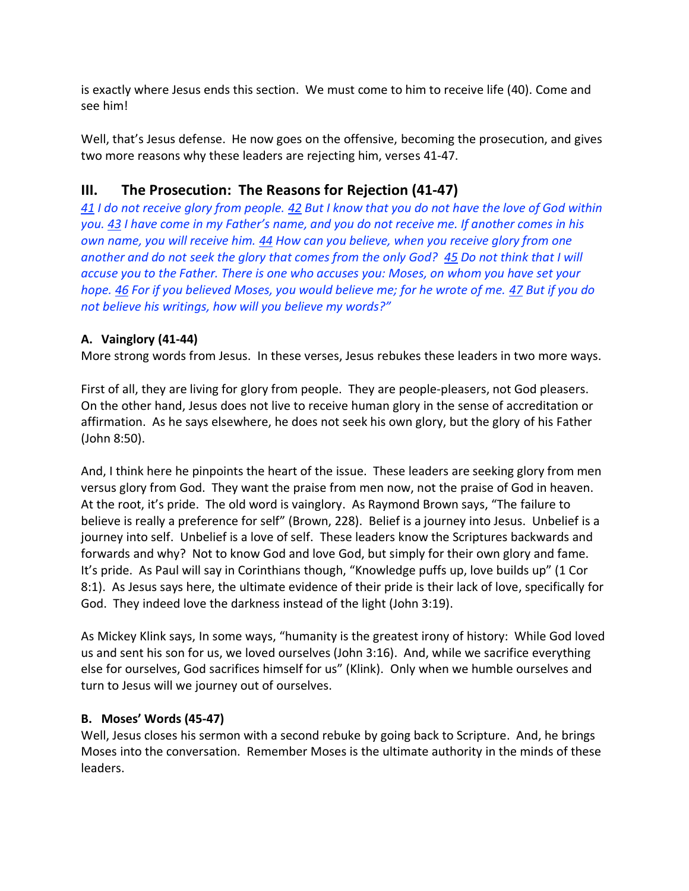is exactly where Jesus ends this section. We must come to him to receive life (40). Come and see him!

Well, that's Jesus defense. He now goes on the offensive, becoming the prosecution, and gives two more reasons why these leaders are rejecting him, verses 41-47.

# **III. The Prosecution: The Reasons for Rejection (41-47)**

*41 I do not receive glory from people. 42 But I know that you do not have the love of God within you. 43 I have come in my Father's name, and you do not receive me. If another comes in his own name, you will receive him. 44 How can you believe, when you receive glory from one another and do not seek the glory that comes from the only God? 45 Do not think that I will accuse you to the Father. There is one who accuses you: Moses, on whom you have set your hope. 46 For if you believed Moses, you would believe me; for he wrote of me. 47 But if you do not believe his writings, how will you believe my words?"*

# **A. Vainglory (41-44)**

More strong words from Jesus. In these verses, Jesus rebukes these leaders in two more ways.

First of all, they are living for glory from people. They are people-pleasers, not God pleasers. On the other hand, Jesus does not live to receive human glory in the sense of accreditation or affirmation. As he says elsewhere, he does not seek his own glory, but the glory of his Father (John 8:50).

And, I think here he pinpoints the heart of the issue. These leaders are seeking glory from men versus glory from God. They want the praise from men now, not the praise of God in heaven. At the root, it's pride. The old word is vainglory. As Raymond Brown says, "The failure to believe is really a preference for self" (Brown, 228). Belief is a journey into Jesus. Unbelief is a journey into self. Unbelief is a love of self. These leaders know the Scriptures backwards and forwards and why? Not to know God and love God, but simply for their own glory and fame. It's pride. As Paul will say in Corinthians though, "Knowledge puffs up, love builds up" (1 Cor 8:1). As Jesus says here, the ultimate evidence of their pride is their lack of love, specifically for God. They indeed love the darkness instead of the light (John 3:19).

As Mickey Klink says, In some ways, "humanity is the greatest irony of history: While God loved us and sent his son for us, we loved ourselves (John 3:16). And, while we sacrifice everything else for ourselves, God sacrifices himself for us" (Klink). Only when we humble ourselves and turn to Jesus will we journey out of ourselves.

# **B. Moses' Words (45-47)**

Well, Jesus closes his sermon with a second rebuke by going back to Scripture. And, he brings Moses into the conversation. Remember Moses is the ultimate authority in the minds of these leaders.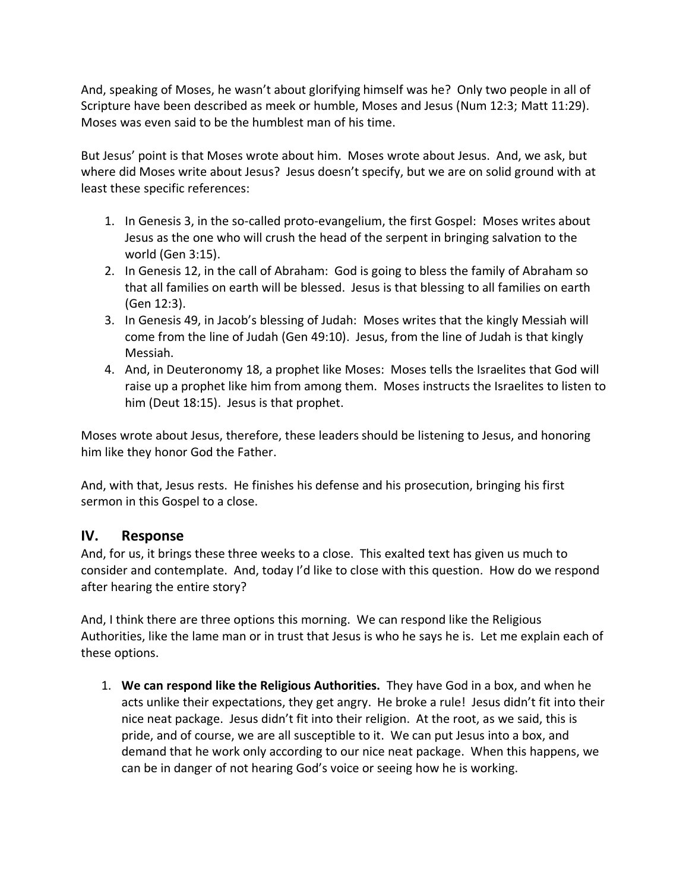And, speaking of Moses, he wasn't about glorifying himself was he? Only two people in all of Scripture have been described as meek or humble, Moses and Jesus (Num 12:3; Matt 11:29). Moses was even said to be the humblest man of his time.

But Jesus' point is that Moses wrote about him. Moses wrote about Jesus. And, we ask, but where did Moses write about Jesus? Jesus doesn't specify, but we are on solid ground with at least these specific references:

- 1. In Genesis 3, in the so-called proto-evangelium, the first Gospel: Moses writes about Jesus as the one who will crush the head of the serpent in bringing salvation to the world (Gen 3:15).
- 2. In Genesis 12, in the call of Abraham: God is going to bless the family of Abraham so that all families on earth will be blessed. Jesus is that blessing to all families on earth (Gen 12:3).
- 3. In Genesis 49, in Jacob's blessing of Judah: Moses writes that the kingly Messiah will come from the line of Judah (Gen 49:10). Jesus, from the line of Judah is that kingly Messiah.
- 4. And, in Deuteronomy 18, a prophet like Moses: Moses tells the Israelites that God will raise up a prophet like him from among them. Moses instructs the Israelites to listen to him (Deut 18:15). Jesus is that prophet.

Moses wrote about Jesus, therefore, these leaders should be listening to Jesus, and honoring him like they honor God the Father.

And, with that, Jesus rests. He finishes his defense and his prosecution, bringing his first sermon in this Gospel to a close.

## **IV. Response**

And, for us, it brings these three weeks to a close. This exalted text has given us much to consider and contemplate. And, today I'd like to close with this question. How do we respond after hearing the entire story?

And, I think there are three options this morning. We can respond like the Religious Authorities, like the lame man or in trust that Jesus is who he says he is. Let me explain each of these options.

1. **We can respond like the Religious Authorities.** They have God in a box, and when he acts unlike their expectations, they get angry. He broke a rule! Jesus didn't fit into their nice neat package. Jesus didn't fit into their religion. At the root, as we said, this is pride, and of course, we are all susceptible to it. We can put Jesus into a box, and demand that he work only according to our nice neat package. When this happens, we can be in danger of not hearing God's voice or seeing how he is working.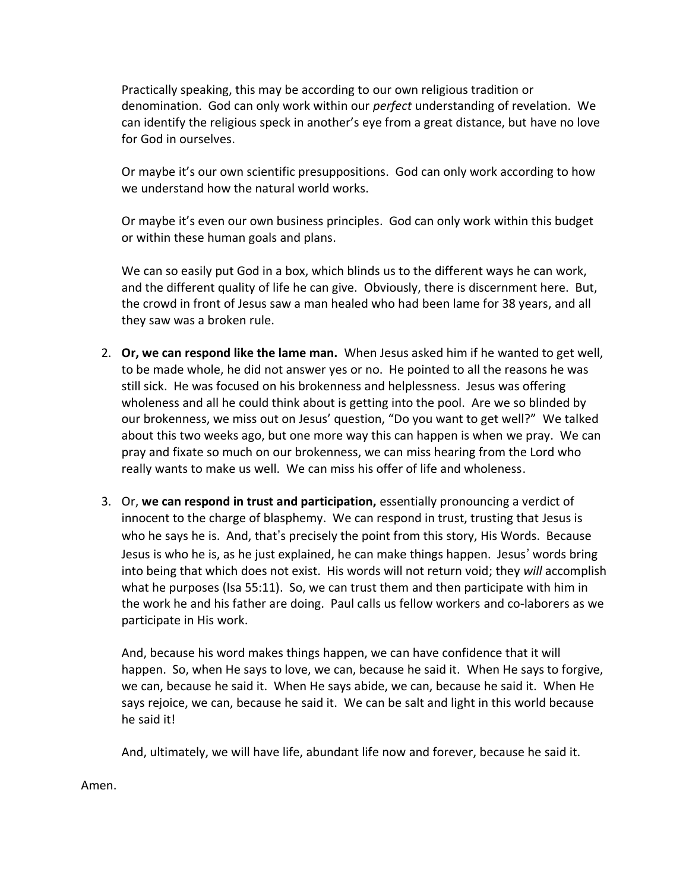Practically speaking, this may be according to our own religious tradition or denomination. God can only work within our *perfect* understanding of revelation. We can identify the religious speck in another's eye from a great distance, but have no love for God in ourselves.

Or maybe it's our own scientific presuppositions. God can only work according to how we understand how the natural world works.

Or maybe it's even our own business principles. God can only work within this budget or within these human goals and plans.

We can so easily put God in a box, which blinds us to the different ways he can work, and the different quality of life he can give. Obviously, there is discernment here. But, the crowd in front of Jesus saw a man healed who had been lame for 38 years, and all they saw was a broken rule.

- 2. **Or, we can respond like the lame man.** When Jesus asked him if he wanted to get well, to be made whole, he did not answer yes or no. He pointed to all the reasons he was still sick. He was focused on his brokenness and helplessness. Jesus was offering wholeness and all he could think about is getting into the pool. Are we so blinded by our brokenness, we miss out on Jesus' question, "Do you want to get well?" We talked about this two weeks ago, but one more way this can happen is when we pray. We can pray and fixate so much on our brokenness, we can miss hearing from the Lord who really wants to make us well. We can miss his offer of life and wholeness.
- 3. Or, **we can respond in trust and participation,** essentially pronouncing a verdict of innocent to the charge of blasphemy. We can respond in trust, trusting that Jesus is who he says he is. And, that's precisely the point from this story, His Words. Because Jesus is who he is, as he just explained, he can make things happen. Jesus' words bring into being that which does not exist. His words will not return void; they *will* accomplish what he purposes (Isa 55:11). So, we can trust them and then participate with him in the work he and his father are doing. Paul calls us fellow workers and co-laborers as we participate in His work.

And, because his word makes things happen, we can have confidence that it will happen. So, when He says to love, we can, because he said it. When He says to forgive, we can, because he said it. When He says abide, we can, because he said it. When He says rejoice, we can, because he said it. We can be salt and light in this world because he said it!

And, ultimately, we will have life, abundant life now and forever, because he said it.

Amen.